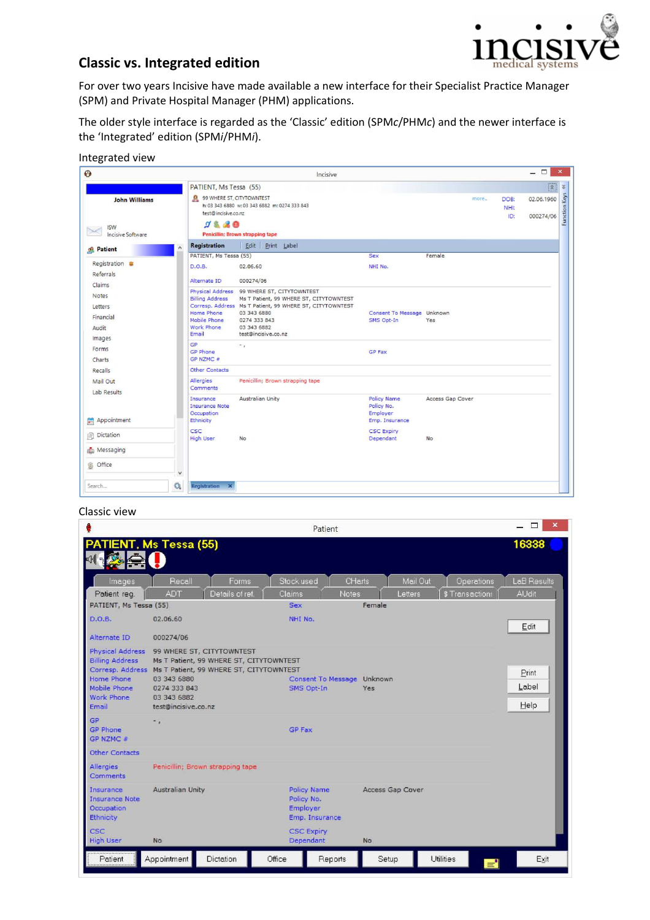

# **Classic vs. Integrated edition**

For over two years Incisive have made available a new interface for their Specialist Practice Manager (SPM) and Private Hospital Manager (PHM) applications.

The older style interface is regarded as the 'Classic' edition (SPM*c*/PHM*c*) and the newer interface is the 'Integrated' edition (SPM*i*/PHM*i*).

| Integrated view |
|-----------------|
|-----------------|

| $\Theta$                                                       |                                                                             | Incisive                                                                                                                                                                                                               |                                                                |                  |                     |                                          |  |
|----------------------------------------------------------------|-----------------------------------------------------------------------------|------------------------------------------------------------------------------------------------------------------------------------------------------------------------------------------------------------------------|----------------------------------------------------------------|------------------|---------------------|------------------------------------------|--|
|                                                                | PATIENT, Ms Tessa (55)                                                      |                                                                                                                                                                                                                        |                                                                |                  |                     | R<br>$\lesssim$                          |  |
| <b>John Williams</b><br><b>ISW</b><br><b>Incisive Software</b> | test@incisive.co.nz<br>98.80                                                | 99 WHERE ST, CITYTOWNTEST<br>h: 03 343 6880 w: 03 343 6882 m: 0274 333 843<br>Penicillin; Brown strapping tape                                                                                                         |                                                                | more             | DOB:<br>NHI:<br>ID: | Function Keys<br>02.06.1960<br>000274/06 |  |
| co. Patient                                                    | Registration                                                                | Edit Print Label                                                                                                                                                                                                       |                                                                |                  |                     |                                          |  |
| Registration <sup>®</sup><br>Referrals                         | PATIENT, Ms Tessa (55)<br>D.O.B.<br>Alternate ID                            | 02.06.60<br>000274/06                                                                                                                                                                                                  | Sex<br>NHI No.                                                 | Female           |                     |                                          |  |
| Claims<br><b>Notes</b><br>Letters<br>Financial<br>Audit        | <b>Billing Address</b><br>Home Phone<br>Mobile Phone<br>Work Phone<br>Email | Physical Address 99 WHERE ST, CITYTOWNTEST<br>Ms T Patient, 99 WHERE ST, CITYTOWNTEST<br>Corresp. Address Ms T Patient, 99 WHERE ST, CITYTOWNTEST<br>03 343 6880<br>0274 333 843<br>03 343 6882<br>test@incisive.co.nz | Consent To Message Unknown<br>SMS Opt-In                       | Yes              |                     |                                          |  |
| Images<br>Forms<br>Charts                                      | <b>GP</b><br><b>GP Phone</b><br>GP NZMC #                                   | $-1$                                                                                                                                                                                                                   | <b>GP Fax</b>                                                  |                  |                     |                                          |  |
| Recalls                                                        | <b>Other Contacts</b>                                                       |                                                                                                                                                                                                                        |                                                                |                  |                     |                                          |  |
| Mail Out<br>Lab Results                                        | Allergies<br>Comments                                                       | Penicillin; Brown strapping tape                                                                                                                                                                                       |                                                                |                  |                     |                                          |  |
| Appointment<br><b>A</b>                                        | Insurance<br><b>Insurance Note</b><br>Occupation<br>Ethnicity               | Australian Unity                                                                                                                                                                                                       | <b>Policy Name</b><br>Policy No.<br>Employer<br>Emp. Insurance | Access Gap Cover |                     |                                          |  |
| Dictation<br>諭                                                 | CSC<br><b>High User</b>                                                     | No                                                                                                                                                                                                                     | <b>CSC Expiry</b><br>Dependant                                 | No               |                     |                                          |  |
| Messaging                                                      |                                                                             |                                                                                                                                                                                                                        |                                                                |                  |                     |                                          |  |
| <b>S</b> Office                                                | $\checkmark$                                                                |                                                                                                                                                                                                                        |                                                                |                  |                     |                                          |  |
| Search                                                         | Q<br><b>Registration X</b>                                                  |                                                                                                                                                                                                                        |                                                                |                  |                     |                                          |  |

#### Classic view

|                                                                                                                                                                    | Patient                                                                                                                                   |                |            |                                                                |                  |          |                 |                        | $\mathbf x$ |
|--------------------------------------------------------------------------------------------------------------------------------------------------------------------|-------------------------------------------------------------------------------------------------------------------------------------------|----------------|------------|----------------------------------------------------------------|------------------|----------|-----------------|------------------------|-------------|
| PATIENT, Ms Tessa (55)                                                                                                                                             |                                                                                                                                           |                |            |                                                                |                  |          |                 | 16338                  |             |
| Images                                                                                                                                                             | Recall                                                                                                                                    | Forms          |            | Stock used                                                     | CHarts           | Mail Out | Operations      | LaB Results            |             |
| Patient req.                                                                                                                                                       | <b>ADT</b>                                                                                                                                | Details of ref | Claims     | <b>Notes</b>                                                   |                  | Letters  | \$ Transactions | <b>AUdit</b>           |             |
| PATIENT, Ms Tessa (55)                                                                                                                                             |                                                                                                                                           |                | <b>Sex</b> |                                                                | Female           |          |                 |                        |             |
| <b>D.O.B.</b>                                                                                                                                                      | 02.06.60                                                                                                                                  |                |            | NHI No.                                                        |                  |          |                 | Edit                   |             |
| Alternate ID                                                                                                                                                       | 000274/06                                                                                                                                 |                |            |                                                                |                  |          |                 |                        |             |
| <b>Physical Address</b><br><b>Billing Address</b><br>Corresp. Address Ms T Patient, 99 WHERE ST, CITYTOWNTEST<br>Home Phone<br>Mobile Phone<br>Work Phone<br>Email | 99 WHERE ST, CITYTOWNTEST<br>Ms T Patient, 99 WHERE ST, CITYTOWNTEST<br>03 343 6880<br>0274 333 843<br>03 343 6882<br>test@incisive.co.nz |                |            | Consent To Message Unknown<br>SMS Opt-In                       | Yes              |          |                 | Print<br>Label<br>Help |             |
| GP<br><b>GP Phone</b><br>GP NZMC #                                                                                                                                 | $\ddot{\phantom{0}}$                                                                                                                      |                |            | <b>GP Fax</b>                                                  |                  |          |                 |                        |             |
| <b>Other Contacts</b>                                                                                                                                              |                                                                                                                                           |                |            |                                                                |                  |          |                 |                        |             |
| <b>Allergies</b><br>Comments                                                                                                                                       | Penicillin; Brown strapping tape                                                                                                          |                |            |                                                                |                  |          |                 |                        |             |
| Insurance<br><b>Insurance Note</b><br>Occupation<br>Ethnicity                                                                                                      | <b>Australian Unity</b>                                                                                                                   |                |            | <b>Policy Name</b><br>Policy No.<br>Employer<br>Emp. Insurance | Access Gap Cover |          |                 |                        |             |
| CSC<br><b>High User</b>                                                                                                                                            | No                                                                                                                                        |                |            | <b>CSC Expiry</b><br>Dependant                                 | No               |          |                 |                        |             |
| Patient                                                                                                                                                            | Appointment                                                                                                                               | Dictation      | Office     | Reports                                                        | Setup            |          | Utilities       | E.                     | Exit        |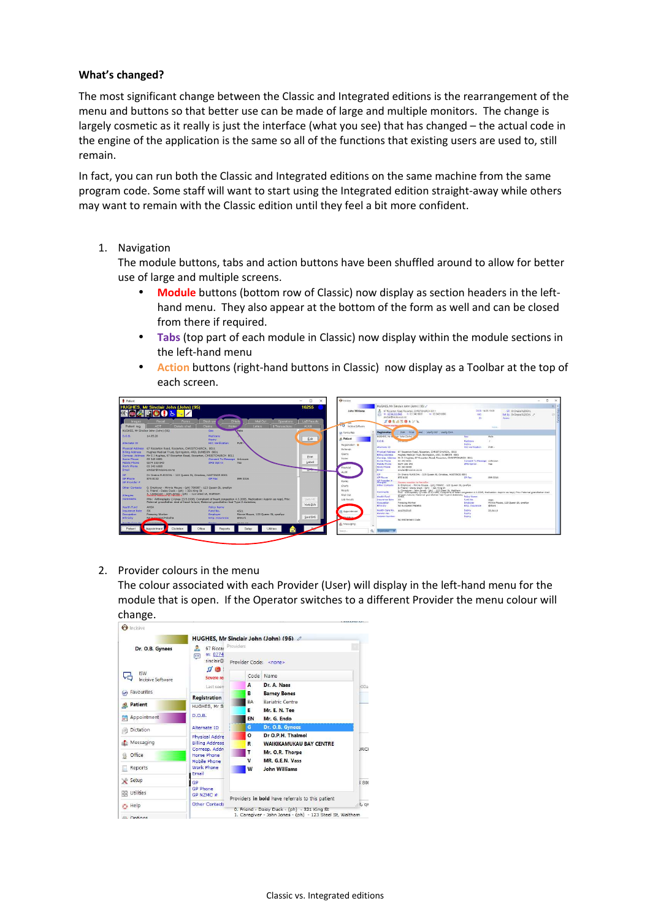### **What's changed?**

The most significant change between the Classic and Integrated editions is the rearrangement of the menu and buttons so that better use can be made of large and multiple monitors. The change is largely cosmetic as it really is just the interface (what you see) that has changed – the actual code in the engine of the application is the same so all of the functions that existing users are used to, still remain.

In fact, you can run both the Classic and Integrated editions on the same machine from the same program code. Some staff will want to start using the Integrated edition straight-away while others may want to remain with the Classic edition until they feel a bit more confident.

1. Navigation

The module buttons, tabs and action buttons have been shuffled around to allow for better use of large and multiple screens.

- **Module** buttons (bottom row of Classic) now display as section headers in the lefthand menu. They also appear at the bottom of the form as well and can be closed from there if required.
- **Tabs** (top part of each module in Classic) now display within the module sections in the left-hand menu
- **Action** buttons (right-hand buttons in Classic) now display as a Toolbar at the top of each screen.



2. Provider colours in the menu

The colour associated with each Provider (User) will display in the left-hand menu for the module that is open. If the Operator switches to a different Provider the menu colour will change.

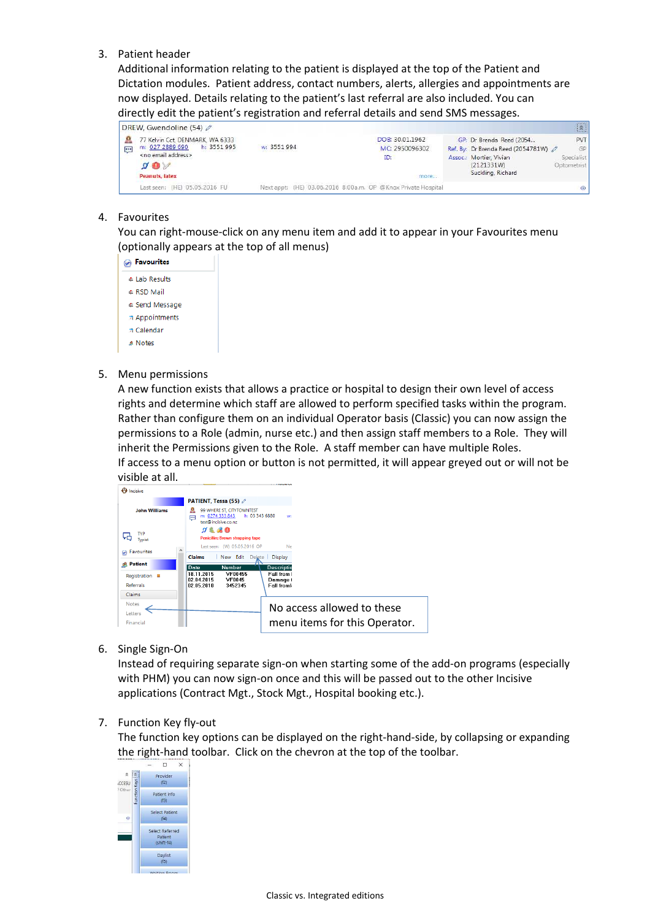3. Patient header

Additional information relating to the patient is displayed at the top of the Patient and Dictation modules. Patient address, contact numbers, alerts, allergies and appointments are now displayed. Details relating to the patient's last referral are also included. You can directly edit the patient's registration and referral details and send SMS messages.



## 4. Favourites

You can right-mouse-click on any menu item and add it to appear in your Favourites menu (optionally appears at the top of all menus)

5. Menu permissions

A new function exists that allows a practice or hospital to design their own level of access rights and determine which staff are allowed to perform specified tasks within the program. Rather than configure them on an individual Operator basis (Classic) you can now assign the permissions to a Role (admin, nurse etc.) and then assign staff members to a Role. They will inherit the Permissions given to the Role. A staff member can have multiple Roles. If access to a menu option or button is not permitted, it will appear greyed out or will not be visible at all.



6. Single Sign-On

Instead of requiring separate sign-on when starting some of the add-on programs (especially with PHM) you can now sign-on once and this will be passed out to the other Incisive applications (Contract Mgt., Stock Mgt., Hospital booking etc.).

#### 7. Function Key fly-out

The function key options can be displayed on the right-hand-side, by collapsing or expanding the right-hand toolbar. Click on the chevron at the top of the toolbar.